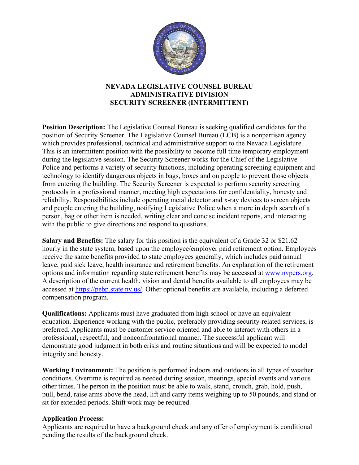

## **NEVADA LEGISLATIVE COUNSEL BUREAU ADMINISTRATIVE DIVISION SECURITY SCREENER (INTERMITTENT)**

**Position Description:** The Legislative Counsel Bureau is seeking qualified candidates for the position of Security Screener. The Legislative Counsel Bureau (LCB) is a nonpartisan agency which provides professional, technical and administrative support to the Nevada Legislature. This is an intermittent position with the possibility to become full time temporary employment during the legislative session. The Security Screener works for the Chief of the Legislative Police and performs a variety of security functions, including operating screening equipment and technology to identify dangerous objects in bags, boxes and on people to prevent those objects from entering the building. The Security Screener is expected to perform security screening protocols in a professional manner, meeting high expectations for confidentiality, honesty and reliability. Responsibilities include operating metal detector and x-ray devices to screen objects and people entering the building, notifying Legislative Police when a more in depth search of a person, bag or other item is needed, writing clear and concise incident reports, and interacting with the public to give directions and respond to questions.

**Salary and Benefits:** The salary for this position is the equivalent of a Grade 32 or \$21.62 hourly in the state system, based upon the employee/employer paid retirement option. Employees receive the same benefits provided to state employees generally, which includes paid annual leave, paid sick leave, health insurance and retirement benefits. An explanation of the retirement options and information regarding state retirement benefits may be accessed at [www.nvpers.org.](http://www.nvpers.org/) A description of the current health, vision and dental benefits available to all employees may be accessed at [https://pebp.state.nv.us/.](https://pebp.state.nv.us/) Other optional benefits are available, including a deferred compensation program.

**Qualifications:** Applicants must have graduated from high school or have an equivalent education. Experience working with the public, preferably providing security-related services, is preferred. Applicants must be customer service oriented and able to interact with others in a professional, respectful, and nonconfrontational manner. The successful applicant will demonstrate good judgment in both crisis and routine situations and will be expected to model integrity and honesty.

**Working Environment:** The position is performed indoors and outdoors in all types of weather conditions. Overtime is required as needed during session, meetings, special events and various other times. The person in the position must be able to walk, stand, crouch, grab, hold, push, pull, bend, raise arms above the head, lift and carry items weighing up to 50 pounds, and stand or sit for extended periods. Shift work may be required.

## **Application Process:**

Applicants are required to have a background check and any offer of employment is conditional pending the results of the background check.